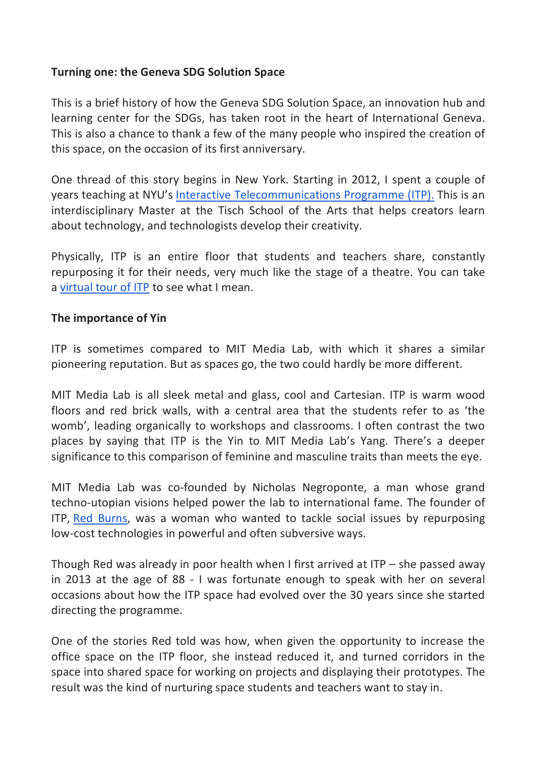## **Turning one: the Geneva SDG Solution Space**

This is a brief history of how the Geneva SDG Solution Space, an innovation hub and learning center for the SDGs, has taken root in the heart of International Geneva. This is also a chance to thank a few of the many people who inspired the creation of this space, on the occasion of its first anniversary.

One thread of this story begins in New York. Starting in 2012, I spent a couple of years teaching at NYU's Interactive Telecommunications Programme (ITP). This is an interdisciplinary Master at the Tisch School of the Arts that helps creators learn about technology, and technologists develop their creativity.

Physically, ITP is an entire floor that students and teachers share, constantly repurposing it for their needs, very much like the stage of a theatre. You can take a virtual tour of ITP to see what I mean.

### **The importance of Yin**

ITP is sometimes compared to MIT Media Lab, with which it shares a similar pioneering reputation. But as spaces go, the two could hardly be more different.

MIT Media Lab is all sleek metal and glass, cool and Cartesian. ITP is warm wood floors and red brick walls, with a central area that the students refer to as 'the womb', leading organically to workshops and classrooms. I often contrast the two places by saying that ITP is the Yin to MIT Media Lab's Yang. There's a deeper significance to this comparison of feminine and masculine traits than meets the eye.

MIT Media Lab was co-founded by Nicholas Negroponte, a man whose grand techno-utopian visions helped power the lab to international fame. The founder of ITP, Red Burns, was a woman who wanted to tackle social issues by repurposing low-cost technologies in powerful and often subversive ways.

Though Red was already in poor health when I first arrived at ITP – she passed away in 2013 at the age of 88 - I was fortunate enough to speak with her on several occasions about how the ITP space had evolved over the 30 years since she started directing the programme.

One of the stories Red told was how, when given the opportunity to increase the office space on the ITP floor, she instead reduced it, and turned corridors in the space into shared space for working on projects and displaying their prototypes. The result was the kind of nurturing space students and teachers want to stay in.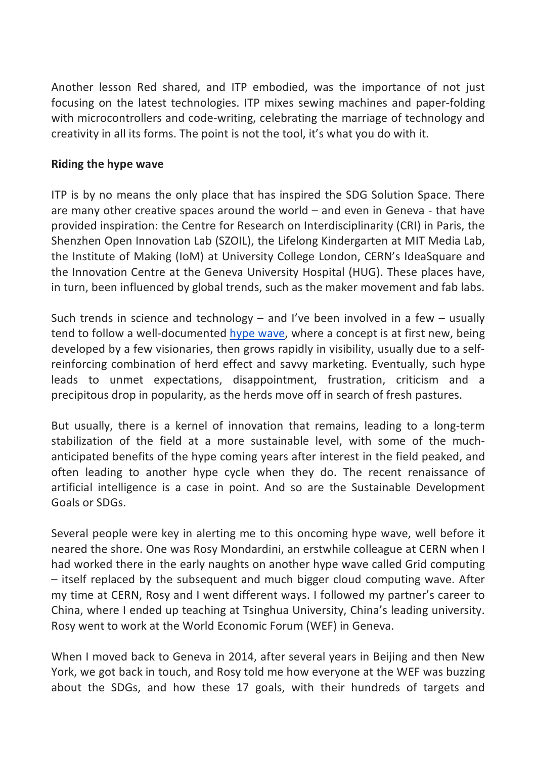Another lesson Red shared, and ITP embodied, was the importance of not just focusing on the latest technologies. ITP mixes sewing machines and paper-folding with microcontrollers and code-writing, celebrating the marriage of technology and creativity in all its forms. The point is not the tool, it's what you do with it.

### **Riding the hype wave**

ITP is by no means the only place that has inspired the SDG Solution Space. There are many other creative spaces around the world – and even in Geneva - that have provided inspiration: the Centre for Research on Interdisciplinarity (CRI) in Paris, the Shenzhen Open Innovation Lab (SZOIL), the Lifelong Kindergarten at MIT Media Lab, the Institute of Making (IoM) at University College London, CERN's IdeaSquare and the Innovation Centre at the Geneva University Hospital (HUG). These places have, in turn, been influenced by global trends, such as the maker movement and fab labs.

Such trends in science and technology  $-$  and I've been involved in a few  $-$  usually tend to follow a well-documented hype wave, where a concept is at first new, being developed by a few visionaries, then grows rapidly in visibility, usually due to a selfreinforcing combination of herd effect and savvy marketing. Eventually, such hype leads to unmet expectations, disappointment, frustration, criticism and a precipitous drop in popularity, as the herds move off in search of fresh pastures.

But usually, there is a kernel of innovation that remains, leading to a long-term stabilization of the field at a more sustainable level, with some of the muchanticipated benefits of the hype coming years after interest in the field peaked, and often leading to another hype cycle when they do. The recent renaissance of artificial intelligence is a case in point. And so are the Sustainable Development Goals or SDGs.

Several people were key in alerting me to this oncoming hype wave, well before it neared the shore. One was Rosy Mondardini, an erstwhile colleague at CERN when I had worked there in the early naughts on another hype wave called Grid computing – itself replaced by the subsequent and much bigger cloud computing wave. After my time at CERN, Rosy and I went different ways. I followed my partner's career to China, where I ended up teaching at Tsinghua University, China's leading university. Rosy went to work at the World Economic Forum (WEF) in Geneva.

When I moved back to Geneva in 2014, after several years in Beijing and then New York, we got back in touch, and Rosy told me how everyone at the WEF was buzzing about the SDGs, and how these 17 goals, with their hundreds of targets and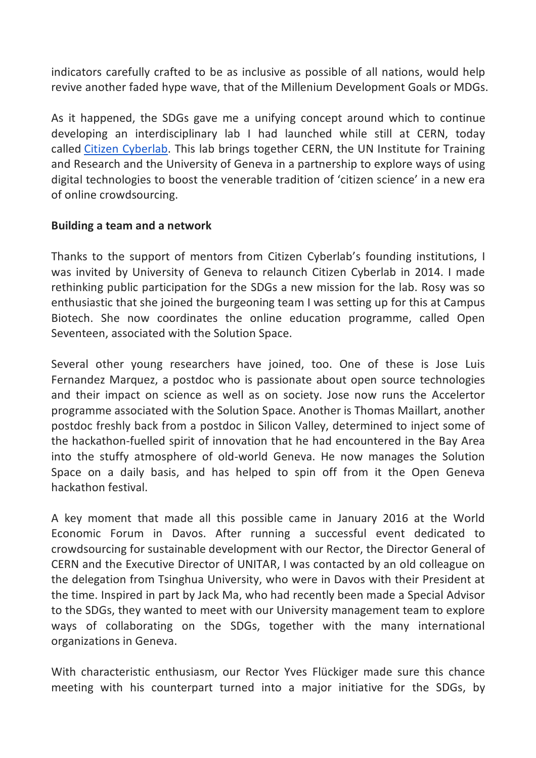indicators carefully crafted to be as inclusive as possible of all nations, would help revive another faded hype wave, that of the Millenium Development Goals or MDGs.

As it happened, the SDGs gave me a unifying concept around which to continue developing an interdisciplinary lab I had launched while still at CERN, today called Citizen Cyberlab. This lab brings together CERN, the UN Institute for Training and Research and the University of Geneva in a partnership to explore ways of using digital technologies to boost the venerable tradition of 'citizen science' in a new era of online crowdsourcing.

### **Building a team and a network**

Thanks to the support of mentors from Citizen Cyberlab's founding institutions, I was invited by University of Geneva to relaunch Citizen Cyberlab in 2014. I made rethinking public participation for the SDGs a new mission for the lab. Rosy was so enthusiastic that she joined the burgeoning team I was setting up for this at Campus Biotech. She now coordinates the online education programme, called Open Seventeen, associated with the Solution Space.

Several other young researchers have joined, too. One of these is Jose Luis Fernandez Marquez, a postdoc who is passionate about open source technologies and their impact on science as well as on society. Jose now runs the Accelertor programme associated with the Solution Space. Another is Thomas Maillart, another postdoc freshly back from a postdoc in Silicon Valley, determined to inject some of the hackathon-fuelled spirit of innovation that he had encountered in the Bay Area into the stuffy atmosphere of old-world Geneva. He now manages the Solution Space on a daily basis, and has helped to spin off from it the Open Geneva hackathon festival.

A key moment that made all this possible came in January 2016 at the World Economic Forum in Davos. After running a successful event dedicated to crowdsourcing for sustainable development with our Rector, the Director General of CERN and the Executive Director of UNITAR, I was contacted by an old colleague on the delegation from Tsinghua University, who were in Davos with their President at the time. Inspired in part by Jack Ma, who had recently been made a Special Advisor to the SDGs, they wanted to meet with our University management team to explore ways of collaborating on the SDGs, together with the many international organizations in Geneva.

With characteristic enthusiasm, our Rector Yves Flückiger made sure this chance meeting with his counterpart turned into a major initiative for the SDGs, by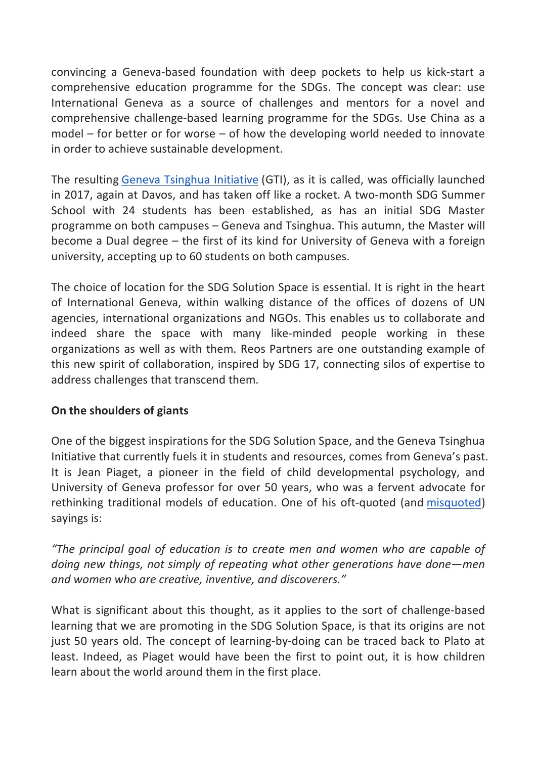convincing a Geneva-based foundation with deep pockets to help us kick-start a comprehensive education programme for the SDGs. The concept was clear: use International Geneva as a source of challenges and mentors for a novel and comprehensive challenge-based learning programme for the SDGs. Use China as a model – for better or for worse – of how the developing world needed to innovate in order to achieve sustainable development.

The resulting Geneva Tsinghua Initiative (GTI), as it is called, was officially launched in 2017, again at Davos, and has taken off like a rocket. A two-month SDG Summer School with 24 students has been established, as has an initial SDG Master programme on both campuses – Geneva and Tsinghua. This autumn, the Master will become a Dual degree – the first of its kind for University of Geneva with a foreign university, accepting up to 60 students on both campuses.

The choice of location for the SDG Solution Space is essential. It is right in the heart of International Geneva, within walking distance of the offices of dozens of UN agencies, international organizations and NGOs. This enables us to collaborate and indeed share the space with many like-minded people working in these organizations as well as with them. Reos Partners are one outstanding example of this new spirit of collaboration, inspired by SDG 17, connecting silos of expertise to address challenges that transcend them.

# **On the shoulders of giants**

One of the biggest inspirations for the SDG Solution Space, and the Geneva Tsinghua Initiative that currently fuels it in students and resources, comes from Geneva's past. It is Jean Piaget, a pioneer in the field of child developmental psychology, and University of Geneva professor for over 50 years, who was a fervent advocate for rethinking traditional models of education. One of his oft-quoted (and misquoted) sayings is:

*"The principal goal of education is to create men and women who are capable of doing new things, not simply of repeating what other generations have done—men and women who are creative, inventive, and discoverers."*

What is significant about this thought, as it applies to the sort of challenge-based learning that we are promoting in the SDG Solution Space, is that its origins are not just 50 years old. The concept of learning-by-doing can be traced back to Plato at least. Indeed, as Piaget would have been the first to point out, it is how children learn about the world around them in the first place.